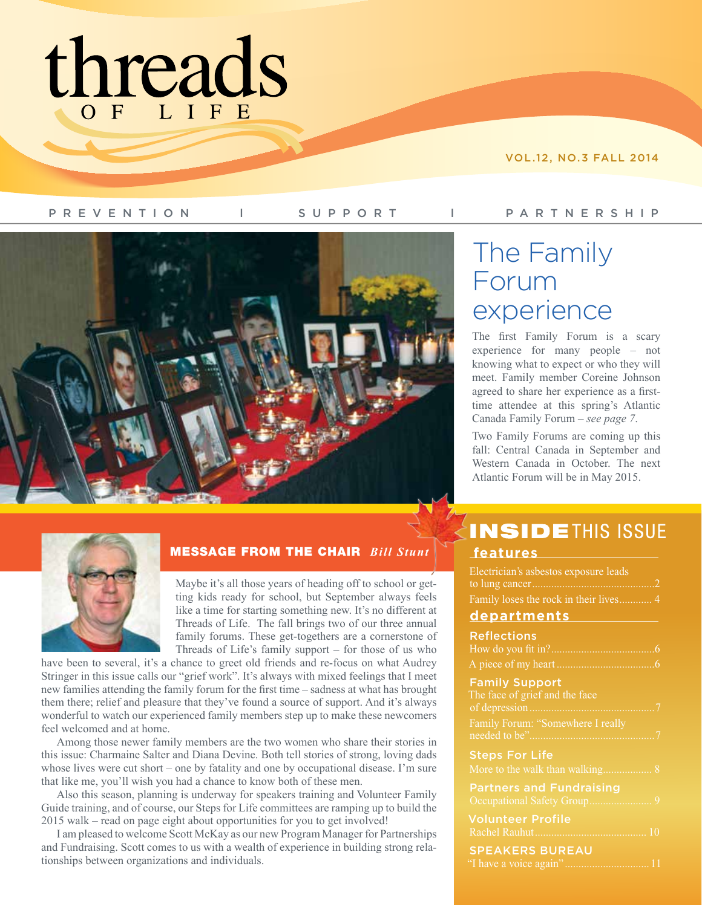# threads

VOL.12, NO.3 FALL 2014

PREVENTION l SUPPORT l PARTNERSHIP



# The Family Forum experience

The first Family Forum is a scary experience for many people – not knowing what to expect or who they will meet. Family member Coreine Johnson agreed to share her experience as a firsttime attendee at this spring's Atlantic Canada Family Forum – *see page 7*.

Two Family Forums are coming up this fall: Central Canada in September and Western Canada in October. The next Atlantic Forum will be in May 2015.



### MESSAGE FROM THE CHAIR *Bill Stunt*

Maybe it's all those years of heading off to school or getting kids ready for school, but September always feels like a time for starting something new. It's no different at Threads of Life. The fall brings two of our three annual family forums. These get-togethers are a cornerstone of Threads of Life's family support – for those of us who

have been to several, it's a chance to greet old friends and re-focus on what Audrey Stringer in this issue calls our "grief work". It's always with mixed feelings that I meet new families attending the family forum for the first time – sadness at what has brought them there; relief and pleasure that they've found a source of support. And it's always wonderful to watch our experienced family members step up to make these newcomers feel welcomed and at home.

Among those newer family members are the two women who share their stories in this issue: Charmaine Salter and Diana Devine. Both tell stories of strong, loving dads whose lives were cut short – one by fatality and one by occupational disease. I'm sure that like me, you'll wish you had a chance to know both of these men.

Also this season, planning is underway for speakers training and Volunteer Family Guide training, and of course, our Steps for Life committees are ramping up to build the 2015 walk – read on page eight about opportunities for you to get involved!

I am pleased to welcome Scott McKay as our new Program Manager for Partnerships and Fundraising. Scott comes to us with a wealth of experience in building strong relationships between organizations and individuals.

# **INSIDETHIS ISSUE**

### **features**

| Electrician's asbestos exposure leads<br>to lung cancer                                                       |
|---------------------------------------------------------------------------------------------------------------|
| Family loses the rock in their lives 4                                                                        |
| <u>departments</u>                                                                                            |
| <b>Reflections</b><br>How do you fit in?<br>6<br>A piece of my heart<br>6                                     |
| <b>Family Support</b><br>The face of grief and the face<br>of depression<br>Family Forum: "Somewhere I really |
| <b>Steps For Life</b>                                                                                         |
| <b>Partners and Fundraising</b><br>Occupational Safety Group<br><sup>Q</sup>                                  |
| <b>Volunteer Profile</b><br>Rachel Rauhut<br>10                                                               |
| <b>SPEAKERS BUREAU</b><br>"I have a voice again"<br>$-11$                                                     |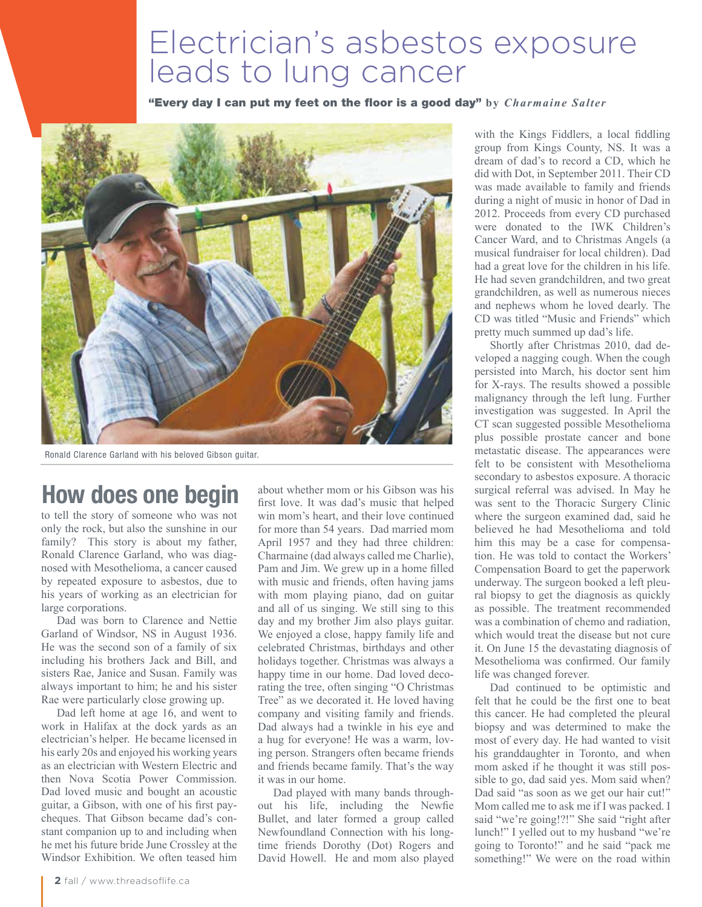# Electrician's asbestos exposure leads to lung cancer

"Every day I can put my feet on the floor is a good day" by *Charmaine Salter* 



Ronald Clarence Garland with his beloved Gibson guitar.

# **How does one begin**

to tell the story of someone who was not only the rock, but also the sunshine in our family? This story is about my father, Ronald Clarence Garland, who was diagnosed with Mesothelioma, a cancer caused by repeated exposure to asbestos, due to his years of working as an electrician for large corporations.

Dad was born to Clarence and Nettie Garland of Windsor, NS in August 1936. He was the second son of a family of six including his brothers Jack and Bill, and sisters Rae, Janice and Susan. Family was always important to him; he and his sister Rae were particularly close growing up.

Dad left home at age 16, and went to work in Halifax at the dock yards as an electrician's helper. He became licensed in his early 20s and enjoyed his working years as an electrician with Western Electric and then Nova Scotia Power Commission. Dad loved music and bought an acoustic guitar, a Gibson, with one of his first paycheques. That Gibson became dad's constant companion up to and including when he met his future bride June Crossley at the Windsor Exhibition. We often teased him about whether mom or his Gibson was his first love. It was dad's music that helped win mom's heart, and their love continued for more than 54 years. Dad married mom April 1957 and they had three children: Charmaine (dad always called me Charlie), Pam and Jim. We grew up in a home filled with music and friends, often having jams with mom playing piano, dad on guitar and all of us singing. We still sing to this day and my brother Jim also plays guitar. We enjoyed a close, happy family life and celebrated Christmas, birthdays and other holidays together. Christmas was always a happy time in our home. Dad loved decorating the tree, often singing "O Christmas Tree" as we decorated it. He loved having company and visiting family and friends. Dad always had a twinkle in his eye and a hug for everyone! He was a warm, loving person. Strangers often became friends and friends became family. That's the way it was in our home.

Dad played with many bands throughout his life, including the Newfie Bullet, and later formed a group called Newfoundland Connection with his longtime friends Dorothy (Dot) Rogers and David Howell. He and mom also played

with the Kings Fiddlers, a local fiddling group from Kings County, NS. It was a dream of dad's to record a CD, which he did with Dot, in September 2011. Their CD was made available to family and friends during a night of music in honor of Dad in 2012. Proceeds from every CD purchased were donated to the IWK Children's Cancer Ward, and to Christmas Angels (a musical fundraiser for local children). Dad had a great love for the children in his life. He had seven grandchildren, and two great grandchildren, as well as numerous nieces and nephews whom he loved dearly. The CD was titled "Music and Friends" which pretty much summed up dad's life.

Shortly after Christmas 2010, dad developed a nagging cough. When the cough persisted into March, his doctor sent him for X-rays. The results showed a possible malignancy through the left lung. Further investigation was suggested. In April the CT scan suggested possible Mesothelioma plus possible prostate cancer and bone metastatic disease. The appearances were felt to be consistent with Mesothelioma secondary to asbestos exposure. A thoracic surgical referral was advised. In May he was sent to the Thoracic Surgery Clinic where the surgeon examined dad, said he believed he had Mesothelioma and told him this may be a case for compensation. He was told to contact the Workers' Compensation Board to get the paperwork underway. The surgeon booked a left pleural biopsy to get the diagnosis as quickly as possible. The treatment recommended was a combination of chemo and radiation. which would treat the disease but not cure it. On June 15 the devastating diagnosis of Mesothelioma was confirmed. Our family life was changed forever.

Dad continued to be optimistic and felt that he could be the first one to beat this cancer. He had completed the pleural biopsy and was determined to make the most of every day. He had wanted to visit his granddaughter in Toronto, and when mom asked if he thought it was still possible to go, dad said yes. Mom said when? Dad said "as soon as we get our hair cut!" Mom called me to ask me if I was packed. I said "we're going!?!" She said "right after lunch!" I yelled out to my husband "we're going to Toronto!" and he said "pack me something!" We were on the road within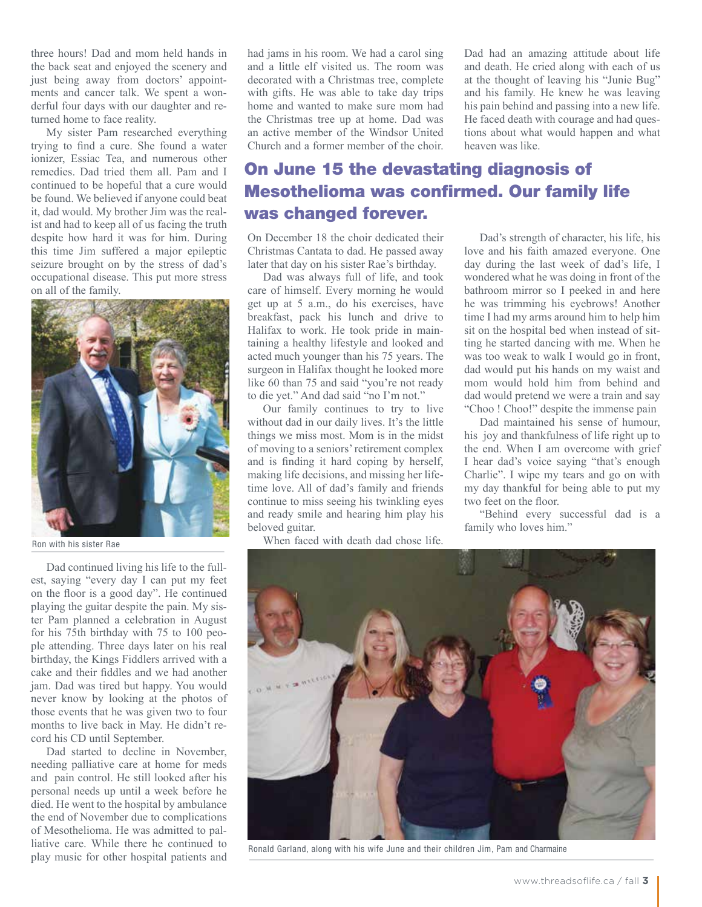three hours! Dad and mom held hands in the back seat and enjoyed the scenery and just being away from doctors' appointments and cancer talk. We spent a wonderful four days with our daughter and returned home to face reality.

My sister Pam researched everything trying to find a cure. She found a water ionizer, Essiac Tea, and numerous other remedies. Dad tried them all. Pam and I continued to be hopeful that a cure would be found. We believed if anyone could beat it, dad would. My brother Jim was the realist and had to keep all of us facing the truth despite how hard it was for him. During this time Jim suffered a major epileptic seizure brought on by the stress of dad's occupational disease. This put more stress on all of the family.



#### Ron with his sister Rae

Dad continued living his life to the fullest, saying "every day I can put my feet on the floor is a good day". He continued playing the guitar despite the pain. My sister Pam planned a celebration in August for his 75th birthday with 75 to 100 people attending. Three days later on his real birthday, the Kings Fiddlers arrived with a cake and their fiddles and we had another jam. Dad was tired but happy. You would never know by looking at the photos of those events that he was given two to four months to live back in May. He didn't record his CD until September.

Dad started to decline in November, needing palliative care at home for meds and pain control. He still looked after his personal needs up until a week before he died. He went to the hospital by ambulance the end of November due to complications of Mesothelioma. He was admitted to palliative care. While there he continued to play music for other hospital patients and

had jams in his room. We had a carol sing and a little elf visited us. The room was decorated with a Christmas tree, complete with gifts. He was able to take day trips home and wanted to make sure mom had the Christmas tree up at home. Dad was an active member of the Windsor United Church and a former member of the choir.

Dad had an amazing attitude about life and death. He cried along with each of us at the thought of leaving his "Junie Bug" and his family. He knew he was leaving his pain behind and passing into a new life. He faced death with courage and had questions about what would happen and what heaven was like.

### On June 15 the devastating diagnosis of Mesothelioma was confirmed. Our family life was changed forever.

On December 18 the choir dedicated their Christmas Cantata to dad. He passed away later that day on his sister Rae's birthday.

Dad was always full of life, and took care of himself. Every morning he would get up at 5 a.m., do his exercises, have breakfast, pack his lunch and drive to Halifax to work. He took pride in maintaining a healthy lifestyle and looked and acted much younger than his 75 years. The surgeon in Halifax thought he looked more like 60 than 75 and said "you're not ready to die yet." And dad said "no I'm not."

Our family continues to try to live without dad in our daily lives. It's the little things we miss most. Mom is in the midst of moving to a seniors' retirement complex and is finding it hard coping by herself, making life decisions, and missing her lifetime love. All of dad's family and friends continue to miss seeing his twinkling eyes and ready smile and hearing him play his beloved guitar.

When faced with death dad chose life.

Dad's strength of character, his life, his love and his faith amazed everyone. One day during the last week of dad's life, I wondered what he was doing in front of the bathroom mirror so I peeked in and here he was trimming his eyebrows! Another time I had my arms around him to help him sit on the hospital bed when instead of sitting he started dancing with me. When he was too weak to walk I would go in front, dad would put his hands on my waist and mom would hold him from behind and dad would pretend we were a train and say "Choo ! Choo!" despite the immense pain

Dad maintained his sense of humour, his joy and thankfulness of life right up to the end. When I am overcome with grief I hear dad's voice saying "that's enough Charlie". I wipe my tears and go on with my day thankful for being able to put my two feet on the floor.

"Behind every successful dad is a family who loves him."



Ronald Garland, along with his wife June and their children Jim, Pam and Charmaine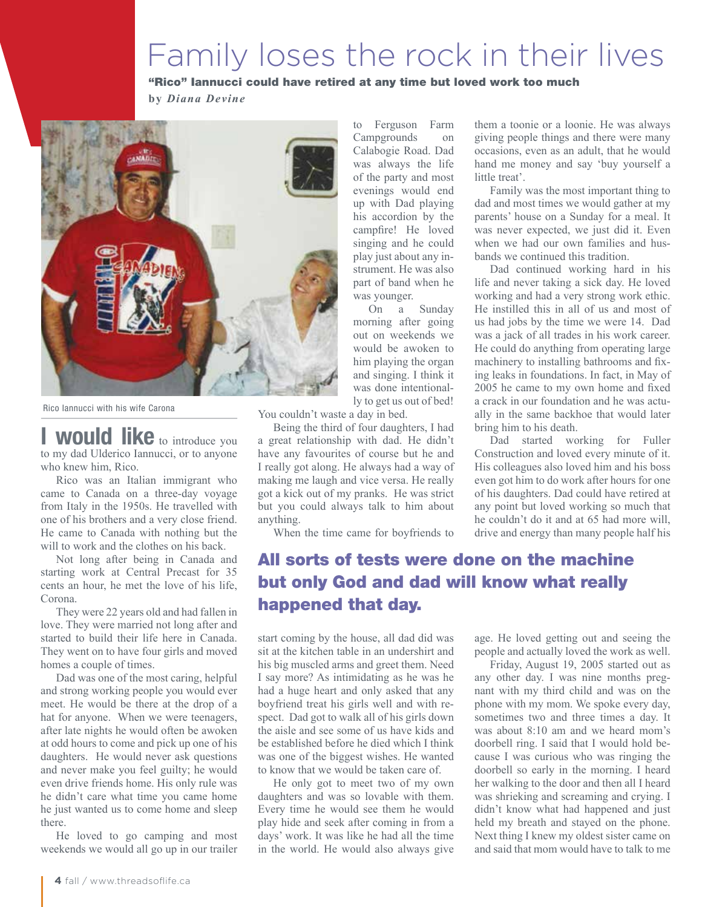# Family loses the rock in their lives

### "Rico" Iannucci could have retired at any time but loved work too much

**b y** *Diana Devine*



Rico Iannucci with his wife Carona

**WOUID like** to introduce you to my dad Ulderico Iannucci, or to anyone who knew him, Rico.

Rico was an Italian immigrant who came to Canada on a three-day voyage from Italy in the 1950s. He travelled with one of his brothers and a very close friend. He came to Canada with nothing but the will to work and the clothes on his back.

Not long after being in Canada and starting work at Central Precast for 35 cents an hour, he met the love of his life, Corona.

They were 22 years old and had fallen in love. They were married not long after and started to build their life here in Canada. They went on to have four girls and moved homes a couple of times.

Dad was one of the most caring, helpful and strong working people you would ever meet. He would be there at the drop of a hat for anyone. When we were teenagers, after late nights he would often be awoken at odd hours to come and pick up one of his daughters. He would never ask questions and never make you feel guilty; he would even drive friends home. His only rule was he didn't care what time you came home he just wanted us to come home and sleep there.

He loved to go camping and most weekends we would all go up in our trailer

to Ferguson Farm Campgrounds on Calabogie Road. Dad was always the life of the party and most evenings would end up with Dad playing his accordion by the campfire! He loved singing and he could play just about any instrument. He was also part of band when he was younger.

On a Sunday morning after going out on weekends we would be awoken to him playing the organ and singing. I think it was done intentionally to get us out of bed!

You couldn't waste a day in bed.

Being the third of four daughters, I had a great relationship with dad. He didn't have any favourites of course but he and I really got along. He always had a way of making me laugh and vice versa. He really got a kick out of my pranks. He was strict but you could always talk to him about anything.

When the time came for boyfriends to

### All sorts of tests were done on the machine but only God and dad will know what really happened that day.

start coming by the house, all dad did was sit at the kitchen table in an undershirt and his big muscled arms and greet them. Need I say more? As intimidating as he was he had a huge heart and only asked that any boyfriend treat his girls well and with respect. Dad got to walk all of his girls down the aisle and see some of us have kids and be established before he died which I think was one of the biggest wishes. He wanted to know that we would be taken care of.

He only got to meet two of my own daughters and was so lovable with them. Every time he would see them he would play hide and seek after coming in from a days' work. It was like he had all the time in the world. He would also always give

them a toonie or a loonie. He was always giving people things and there were many occasions, even as an adult, that he would hand me money and say 'buy yourself a little treat'.

Family was the most important thing to dad and most times we would gather at my parents' house on a Sunday for a meal. It was never expected, we just did it. Even when we had our own families and husbands we continued this tradition.

Dad continued working hard in his life and never taking a sick day. He loved working and had a very strong work ethic. He instilled this in all of us and most of us had jobs by the time we were 14. Dad was a jack of all trades in his work career. He could do anything from operating large machinery to installing bathrooms and fixing leaks in foundations. In fact, in May of 2005 he came to my own home and fixed a crack in our foundation and he was actually in the same backhoe that would later bring him to his death.

Dad started working for Fuller Construction and loved every minute of it. His colleagues also loved him and his boss even got him to do work after hours for one of his daughters. Dad could have retired at any point but loved working so much that he couldn't do it and at 65 had more will, drive and energy than many people half his

age. He loved getting out and seeing the people and actually loved the work as well.

Friday, August 19, 2005 started out as any other day. I was nine months pregnant with my third child and was on the phone with my mom. We spoke every day, sometimes two and three times a day. It was about 8:10 am and we heard mom's doorbell ring. I said that I would hold because I was curious who was ringing the doorbell so early in the morning. I heard her walking to the door and then all I heard was shrieking and screaming and crying. I didn't know what had happened and just held my breath and stayed on the phone. Next thing I knew my oldest sister came on and said that mom would have to talk to me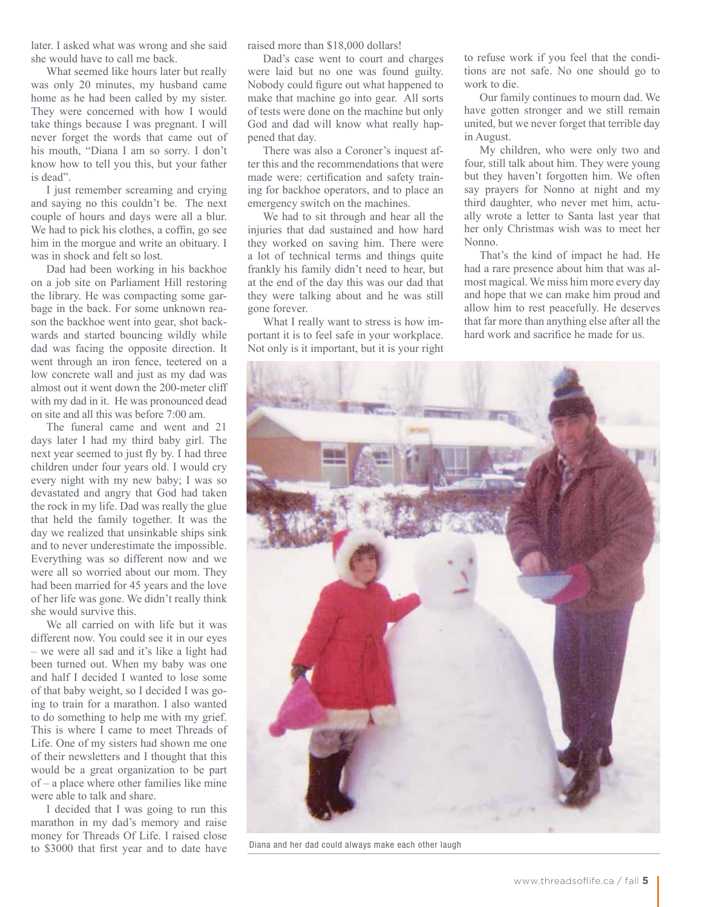later. I asked what was wrong and she said she would have to call me back.

What seemed like hours later but really was only 20 minutes, my husband came home as he had been called by my sister. They were concerned with how I would take things because I was pregnant. I will never forget the words that came out of his mouth, "Diana I am so sorry. I don't know how to tell you this, but your father is dead".

I just remember screaming and crying and saying no this couldn't be. The next couple of hours and days were all a blur. We had to pick his clothes, a coffin, go see him in the morgue and write an obituary. I was in shock and felt so lost.

Dad had been working in his backhoe on a job site on Parliament Hill restoring the library. He was compacting some garbage in the back. For some unknown reason the backhoe went into gear, shot backwards and started bouncing wildly while dad was facing the opposite direction. It went through an iron fence, teetered on a low concrete wall and just as my dad was almost out it went down the 200-meter cliff with my dad in it. He was pronounced dead on site and all this was before 7:00 am.

The funeral came and went and 21 days later I had my third baby girl. The next year seemed to just fly by. I had three children under four years old. I would cry every night with my new baby; I was so devastated and angry that God had taken the rock in my life. Dad was really the glue that held the family together. It was the day we realized that unsinkable ships sink and to never underestimate the impossible. Everything was so different now and we were all so worried about our mom. They had been married for 45 years and the love of her life was gone. We didn't really think she would survive this.

We all carried on with life but it was different now. You could see it in our eyes – we were all sad and it's like a light had been turned out. When my baby was one and half I decided I wanted to lose some of that baby weight, so I decided I was going to train for a marathon. I also wanted to do something to help me with my grief. This is where I came to meet Threads of Life. One of my sisters had shown me one of their newsletters and I thought that this would be a great organization to be part of – a place where other families like mine were able to talk and share.

I decided that I was going to run this marathon in my dad's memory and raise money for Threads Of Life. I raised close to \$3000 that first year and to date have

raised more than \$18,000 dollars!

Dad's case went to court and charges were laid but no one was found guilty. Nobody could figure out what happened to make that machine go into gear. All sorts of tests were done on the machine but only God and dad will know what really happened that day.

There was also a Coroner's inquest after this and the recommendations that were made were: certification and safety training for backhoe operators, and to place an emergency switch on the machines.

We had to sit through and hear all the injuries that dad sustained and how hard they worked on saving him. There were a lot of technical terms and things quite frankly his family didn't need to hear, but at the end of the day this was our dad that they were talking about and he was still gone forever.

What I really want to stress is how important it is to feel safe in your workplace. Not only is it important, but it is your right

to refuse work if you feel that the conditions are not safe. No one should go to work to die.

Our family continues to mourn dad. We have gotten stronger and we still remain united, but we never forget that terrible day in August.

My children, who were only two and four, still talk about him. They were young but they haven't forgotten him. We often say prayers for Nonno at night and my third daughter, who never met him, actually wrote a letter to Santa last year that her only Christmas wish was to meet her Nonno.

That's the kind of impact he had. He had a rare presence about him that was almost magical. We miss him more every day and hope that we can make him proud and allow him to rest peacefully. He deserves that far more than anything else after all the hard work and sacrifice he made for us.



Diana and her dad could always make each other laugh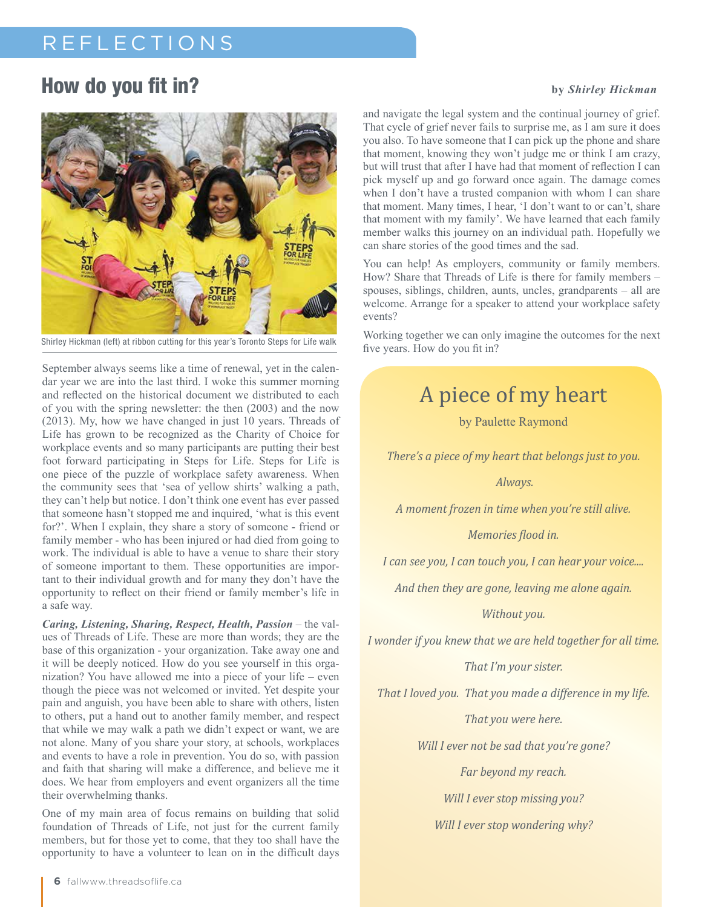# REFLECTIONS

### How do you fit in? **by** *Shirley Hickman*



Shirley Hickman (left) at ribbon cutting for this year's Toronto Steps for Life walk<br>
five years. How do you fit in?

September always seems like a time of renewal, yet in the calendar year we are into the last third. I woke this summer morning and reflected on the historical document we distributed to each of you with the spring newsletter: the then (2003) and the now (2013). My, how we have changed in just 10 years. Threads of Life has grown to be recognized as the Charity of Choice for workplace events and so many participants are putting their best foot forward participating in Steps for Life. Steps for Life is one piece of the puzzle of workplace safety awareness. When the community sees that 'sea of yellow shirts' walking a path, they can't help but notice. I don't think one event has ever passed that someone hasn't stopped me and inquired, 'what is this event for?'. When I explain, they share a story of someone - friend or family member - who has been injured or had died from going to work. The individual is able to have a venue to share their story of someone important to them. These opportunities are important to their individual growth and for many they don't have the opportunity to reflect on their friend or family member's life in a safe way.

*Caring, Listening, Sharing, Respect, Health, Passion* – the values of Threads of Life. These are more than words; they are the base of this organization - your organization. Take away one and it will be deeply noticed. How do you see yourself in this organization? You have allowed me into a piece of your life – even though the piece was not welcomed or invited. Yet despite your pain and anguish, you have been able to share with others, listen to others, put a hand out to another family member, and respect that while we may walk a path we didn't expect or want, we are not alone. Many of you share your story, at schools, workplaces and events to have a role in prevention. You do so, with passion and faith that sharing will make a difference, and believe me it does. We hear from employers and event organizers all the time their overwhelming thanks.

One of my main area of focus remains on building that solid foundation of Threads of Life, not just for the current family members, but for those yet to come, that they too shall have the opportunity to have a volunteer to lean on in the difficult days

and navigate the legal system and the continual journey of grief. That cycle of grief never fails to surprise me, as I am sure it does you also. To have someone that I can pick up the phone and share that moment, knowing they won't judge me or think I am crazy, but will trust that after I have had that moment of reflection I can pick myself up and go forward once again. The damage comes when I don't have a trusted companion with whom I can share that moment. Many times, I hear, 'I don't want to or can't, share that moment with my family'. We have learned that each family member walks this journey on an individual path. Hopefully we can share stories of the good times and the sad.

You can help! As employers, community or family members. How? Share that Threads of Life is there for family members – spouses, siblings, children, aunts, uncles, grandparents – all are welcome. Arrange for a speaker to attend your workplace safety events?

Working together we can only imagine the outcomes for the next

### A piece of my heart

by Paulette Raymond

*There's a piece of my heart that belongs just to you.* 

 *Always.*

*A moment frozen in time when you're still alive.* 

*Memories flood in.*

*I can see you, I can touch you, I can hear your voice....* 

*And then they are gone, leaving me alone again.* 

*Without you.*

*I wonder if you knew that we are held together for all time.* 

*That I'm your sister.* 

*That I loved you. That you made a difference in my life.* 

*That you were here.*

*Will I ever not be sad that you're gone?*

*Far beyond my reach.* 

*Will I ever stop missing you?*

*Will I ever stop wondering why?*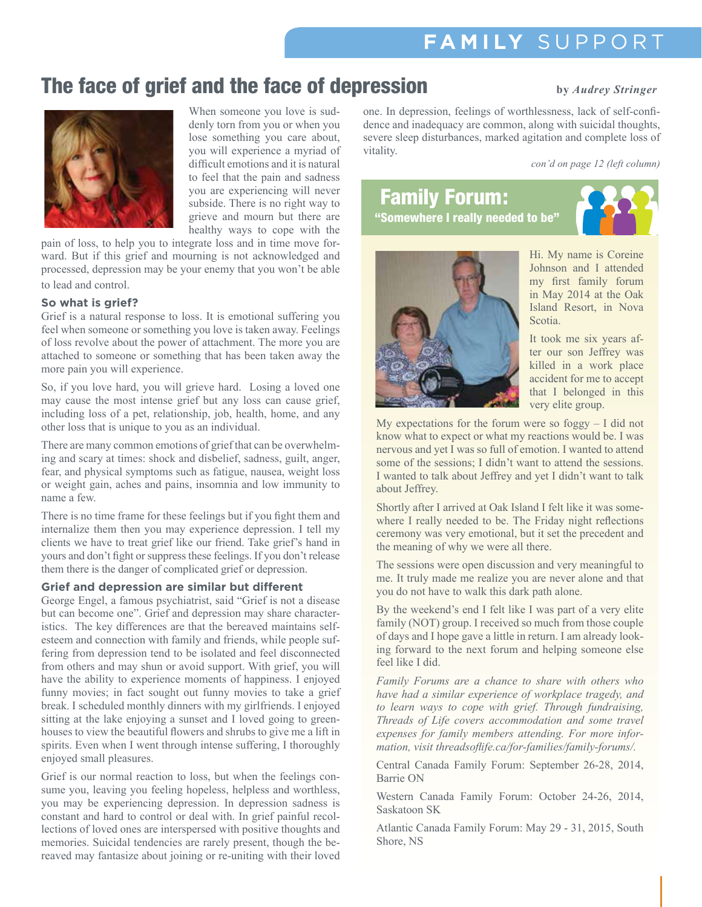# **FAM ILY** SUPPORT

## The face of grief and the face of depression **by** *Audrey Stringer*



When someone you love is suddenly torn from you or when you lose something you care about, you will experience a myriad of difficult emotions and it is natural to feel that the pain and sadness you are experiencing will never subside. There is no right way to grieve and mourn but there are healthy ways to cope with the

pain of loss, to help you to integrate loss and in time move forward. But if this grief and mourning is not acknowledged and processed, depression may be your enemy that you won't be able to lead and control.

#### **So what is grief?**

Grief is a natural response to loss. It is emotional suffering you feel when someone or something you love is taken away. Feelings of loss revolve about the power of attachment. The more you are attached to someone or something that has been taken away the more pain you will experience.

So, if you love hard, you will grieve hard. Losing a loved one may cause the most intense grief but any loss can cause grief, including loss of a pet, relationship, job, health, home, and any other loss that is unique to you as an individual.

There are many common emotions of grief that can be overwhelming and scary at times: shock and disbelief, sadness, guilt, anger, fear, and physical symptoms such as fatigue, nausea, weight loss or weight gain, aches and pains, insomnia and low immunity to name a few.

There is no time frame for these feelings but if you fight them and internalize them then you may experience depression. I tell my clients we have to treat grief like our friend. Take grief's hand in yours and don't fight or suppress these feelings. If you don't release them there is the danger of complicated grief or depression.

### **Grief and depression are similar but different**

George Engel, a famous psychiatrist, said "Grief is not a disease but can become one". Grief and depression may share characteristics. The key differences are that the bereaved maintains selfesteem and connection with family and friends, while people suffering from depression tend to be isolated and feel disconnected from others and may shun or avoid support. With grief, you will have the ability to experience moments of happiness. I enjoyed funny movies; in fact sought out funny movies to take a grief break. I scheduled monthly dinners with my girlfriends. I enjoyed sitting at the lake enjoying a sunset and I loved going to greenhouses to view the beautiful flowers and shrubs to give me a lift in spirits. Even when I went through intense suffering, I thoroughly enjoyed small pleasures.

Grief is our normal reaction to loss, but when the feelings consume you, leaving you feeling hopeless, helpless and worthless, you may be experiencing depression. In depression sadness is constant and hard to control or deal with. In grief painful recollections of loved ones are interspersed with positive thoughts and memories. Suicidal tendencies are rarely present, though the bereaved may fantasize about joining or re-uniting with their loved

one. In depression, feelings of worthlessness, lack of self-confidence and inadequacy are common, along with suicidal thoughts, severe sleep disturbances, marked agitation and complete loss of vitality.

*con'd on page 12 (left column)*

# Family Forum:

"Somewhere I really needed to be"



Hi. My name is Coreine Johnson and I attended my first family forum in May 2014 at the Oak Island Resort, in Nova Scotia.

It took me six years after our son Jeffrey was killed in a work place accident for me to accept that I belonged in this very elite group.

My expectations for the forum were so foggy  $-1$  did not know what to expect or what my reactions would be. I was nervous and yet I was so full of emotion. I wanted to attend some of the sessions; I didn't want to attend the sessions. I wanted to talk about Jeffrey and yet I didn't want to talk about Jeffrey.

Shortly after I arrived at Oak Island I felt like it was somewhere I really needed to be. The Friday night reflections ceremony was very emotional, but it set the precedent and the meaning of why we were all there.

The sessions were open discussion and very meaningful to me. It truly made me realize you are never alone and that you do not have to walk this dark path alone.

By the weekend's end I felt like I was part of a very elite family (NOT) group. I received so much from those couple of days and I hope gave a little in return. I am already looking forward to the next forum and helping someone else feel like I did.

*Family Forums are a chance to share with others who have had a similar experience of workplace tragedy, and to learn ways to cope with grief. Through fundraising, Threads of Life covers accommodation and some travel expenses for family members attending. For more information, visit threadsoflife.ca/for-families/family-forums/.*

Central Canada Family Forum: September 26-28, 2014, Barrie ON

Western Canada Family Forum: October 24-26, 2014, Saskatoon SK

Atlantic Canada Family Forum: May 29 - 31, 2015, South Shore, NS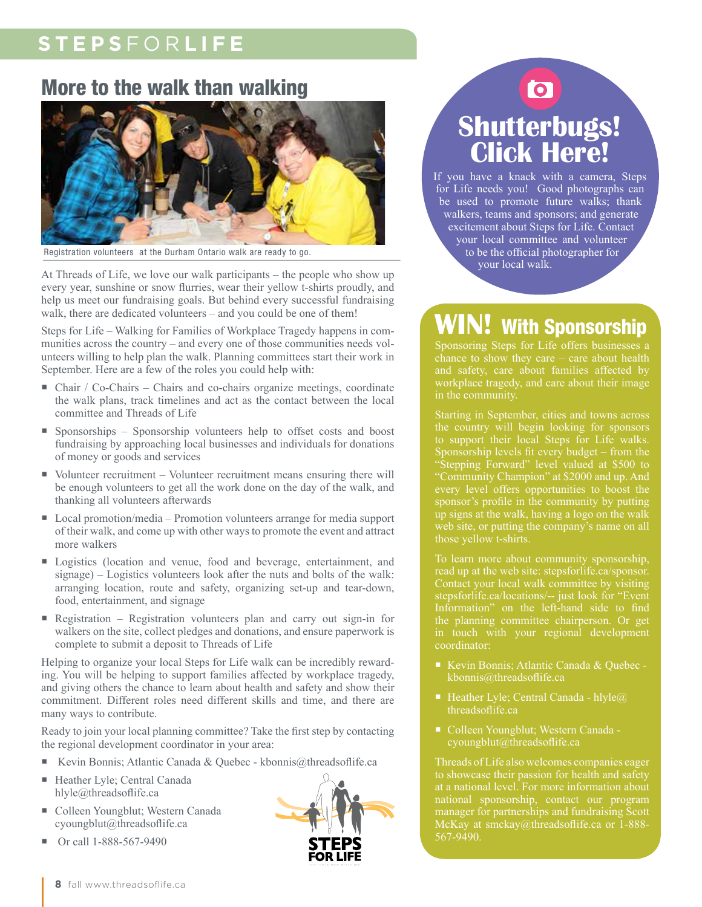# **STEPS** FOR **LIFE**

### More to the walk than walking



Registration volunteers at the Durham Ontario walk are ready to go.

At Threads of Life, we love our walk participants – the people who show up every year, sunshine or snow flurries, wear their yellow t-shirts proudly, and help us meet our fundraising goals. But behind every successful fundraising walk, there are dedicated volunteers – and you could be one of them!

Steps for Life – Walking for Families of Workplace Tragedy happens in communities across the country – and every one of those communities needs volunteers willing to help plan the walk. Planning committees start their work in September. Here are a few of the roles you could help with:

- Chair / Co-Chairs Chairs and co-chairs organize meetings, coordinate the walk plans, track timelines and act as the contact between the local committee and Threads of Life
- Sponsorships Sponsorship volunteers help to offset costs and boost fundraising by approaching local businesses and individuals for donations of money or goods and services
- Volunteer recruitment Volunteer recruitment means ensuring there will be enough volunteers to get all the work done on the day of the walk, and thanking all volunteers afterwards
- Local promotion/media Promotion volunteers arrange for media support of their walk, and come up with other ways to promote the event and attract more walkers
- Logistics (location and venue, food and beverage, entertainment, and signage) – Logistics volunteers look after the nuts and bolts of the walk: arranging location, route and safety, organizing set-up and tear-down, food, entertainment, and signage
- Registration Registration volunteers plan and carry out sign-in for walkers on the site, collect pledges and donations, and ensure paperwork is complete to submit a deposit to Threads of Life

Helping to organize your local Steps for Life walk can be incredibly rewarding. You will be helping to support families affected by workplace tragedy, and giving others the chance to learn about health and safety and show their commitment. Different roles need different skills and time, and there are many ways to contribute.

Ready to join your local planning committee? Take the first step by contacting the regional development coordinator in your area:

- Kevin Bonnis; Atlantic Canada & Quebec kbonnis@threadsoflife.ca
- Heather Lyle; Central Canada hlyle@threadsoflife.ca
- Colleen Youngblut; Western Canada cyoungblut@threadsoflife.ca
- Or call 1-888-567-9490



# **Shutterbugs! Click Here!**

 $\overline{\mathbf{C}}$ 

If you have a knack with a camera, Steps for Life needs you! Good photographs can be used to promote future walks; thank walkers, teams and sponsors; and generate excitement about Steps for Life. Contact your local committee and volunteer to be the official photographer for your local walk.

# **WIN!** With Sponsorship

Sponsoring Steps for Life offers businesses a workplace tragedy, and care about their image in the community.

the country will begin looking for sponsors to support their local Steps for Life walks. Sponsorship levels fit every budget – from the "Stepping Forward" level valued at \$500 to "Community Champion" at \$2000 and up. And every level offers opportunities to boost the sponsor's profile in the community by putting up signs at the walk, having a logo on the walk web site, or putting the company's name on all those yellow t-shirts.

To learn more about community sponsorship, the planning committee chairperson. Or get coordinator:

- 
- Heather Lyle; Central Canada hlyle $\omega$ threadsoflife.ca
- Colleen Youngblut; Western Canada cyoungblut@threadsoflife.ca

Threads of Life also welcomes companies eager national sponsorship, contact our program manager for partnerships and fundraising Scott McKay at smckay@threadsoflife.ca or 1-888- 567-9490.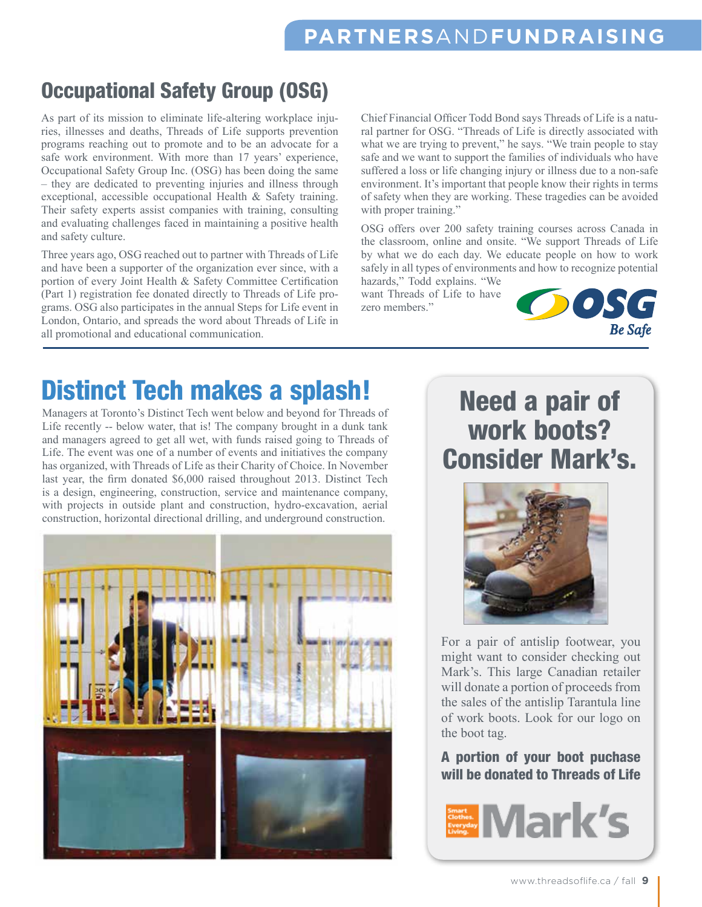# Occupational Safety Group (OSG)

As part of its mission to eliminate life-altering workplace injuries, illnesses and deaths, Threads of Life supports prevention programs reaching out to promote and to be an advocate for a safe work environment. With more than 17 years' experience, Occupational Safety Group Inc. (OSG) has been doing the same – they are dedicated to preventing injuries and illness through exceptional, accessible occupational Health & Safety training. Their safety experts assist companies with training, consulting and evaluating challenges faced in maintaining a positive health and safety culture.

Three years ago, OSG reached out to partner with Threads of Life and have been a supporter of the organization ever since, with a portion of every Joint Health & Safety Committee Certification (Part 1) registration fee donated directly to Threads of Life programs. OSG also participates in the annual Steps for Life event in London, Ontario, and spreads the word about Threads of Life in all promotional and educational communication.

Chief Financial Officer Todd Bond says Threads of Life is a natural partner for OSG. "Threads of Life is directly associated with what we are trying to prevent," he says. "We train people to stay safe and we want to support the families of individuals who have suffered a loss or life changing injury or illness due to a non-safe environment. It's important that people know their rights in terms of safety when they are working. These tragedies can be avoided with proper training."

OSG offers over 200 safety training courses across Canada in the classroom, online and onsite. "We support Threads of Life by what we do each day. We educate people on how to work safely in all types of environments and how to recognize potential

hazards," Todd explains. "We want Threads of Life to have zero members."



# Distinct Tech makes a splash!

Managers at Toronto's Distinct Tech went below and beyond for Threads of Life recently -- below water, that is! The company brought in a dunk tank and managers agreed to get all wet, with funds raised going to Threads of Life. The event was one of a number of events and initiatives the company has organized, with Threads of Life as their Charity of Choice. In November last year, the firm donated \$6,000 raised throughout 2013. Distinct Tech is a design, engineering, construction, service and maintenance company, with projects in outside plant and construction, hydro-excavation, aerial construction, horizontal directional drilling, and underground construction.



# Need a pair of work boots? Consider Mark's.



For a pair of antislip footwear, you might want to consider checking out Mark's. This large Canadian retailer will donate a portion of proceeds from the sales of the antislip Tarantula line of work boots. Look for our logo on the boot tag.

### A portion of your boot puchase will be donated to Threads of Life

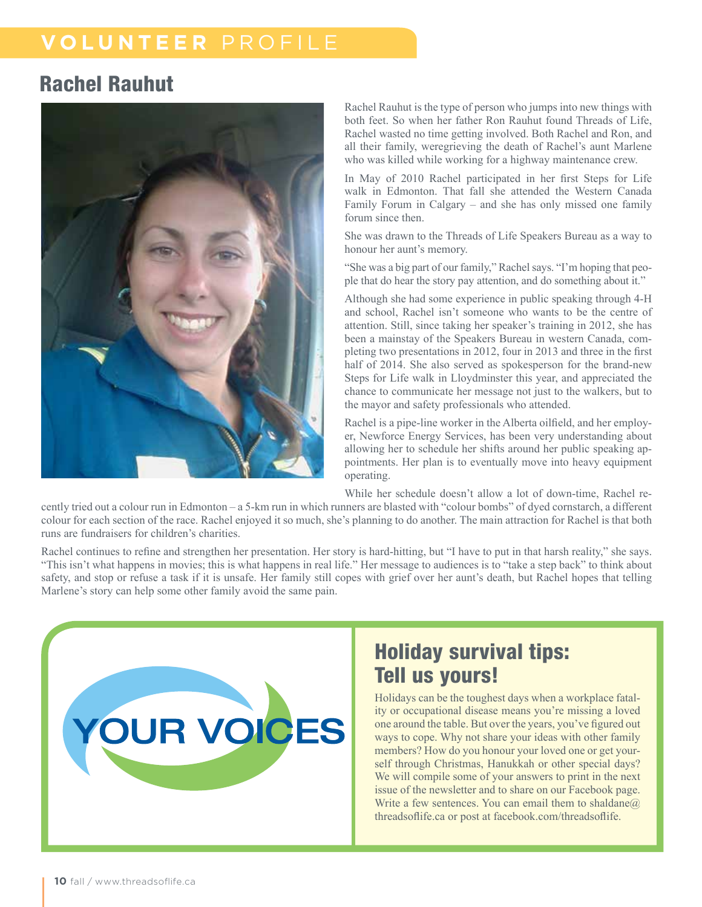### **VOLUNTEER** PROFILE

### Rachel Rauhut



Rachel Rauhut is the type of person who jumps into new things with both feet. So when her father Ron Rauhut found Threads of Life, Rachel wasted no time getting involved. Both Rachel and Ron, and all their family, weregrieving the death of Rachel's aunt Marlene who was killed while working for a highway maintenance crew.

In May of 2010 Rachel participated in her first Steps for Life walk in Edmonton. That fall she attended the Western Canada Family Forum in Calgary – and she has only missed one family forum since then.

She was drawn to the Threads of Life Speakers Bureau as a way to honour her aunt's memory.

"She was a big part of our family," Rachel says. "I'm hoping that people that do hear the story pay attention, and do something about it."

Although she had some experience in public speaking through 4-H and school, Rachel isn't someone who wants to be the centre of attention. Still, since taking her speaker's training in 2012, she has been a mainstay of the Speakers Bureau in western Canada, completing two presentations in 2012, four in 2013 and three in the first half of 2014. She also served as spokesperson for the brand-new Steps for Life walk in Lloydminster this year, and appreciated the chance to communicate her message not just to the walkers, but to the mayor and safety professionals who attended.

Rachel is a pipe-line worker in the Alberta oilfield, and her employer, Newforce Energy Services, has been very understanding about allowing her to schedule her shifts around her public speaking appointments. Her plan is to eventually move into heavy equipment operating.

While her schedule doesn't allow a lot of down-time, Rachel re-

cently tried out a colour run in Edmonton – a 5-km run in which runners are blasted with "colour bombs" of dyed cornstarch, a different colour for each section of the race. Rachel enjoyed it so much, she's planning to do another. The main attraction for Rachel is that both runs are fundraisers for children's charities.

Rachel continues to refine and strengthen her presentation. Her story is hard-hitting, but "I have to put in that harsh reality," she says. "This isn't what happens in movies; this is what happens in real life." Her message to audiences is to "take a step back" to think about safety, and stop or refuse a task if it is unsafe. Her family still copes with grief over her aunt's death, but Rachel hopes that telling Marlene's story can help some other family avoid the same pain.



## Holiday survival tips: Tell us yours!

Holidays can be the toughest days when a workplace fatality or occupational disease means you're missing a loved one around the table. But over the years, you've figured out ways to cope. Why not share your ideas with other family members? How do you honour your loved one or get yourself through Christmas, Hanukkah or other special days? We will compile some of your answers to print in the next issue of the newsletter and to share on our Facebook page. Write a few sentences. You can email them to shaldane $@$ threadsoflife.ca or post at facebook.com/threadsoflife.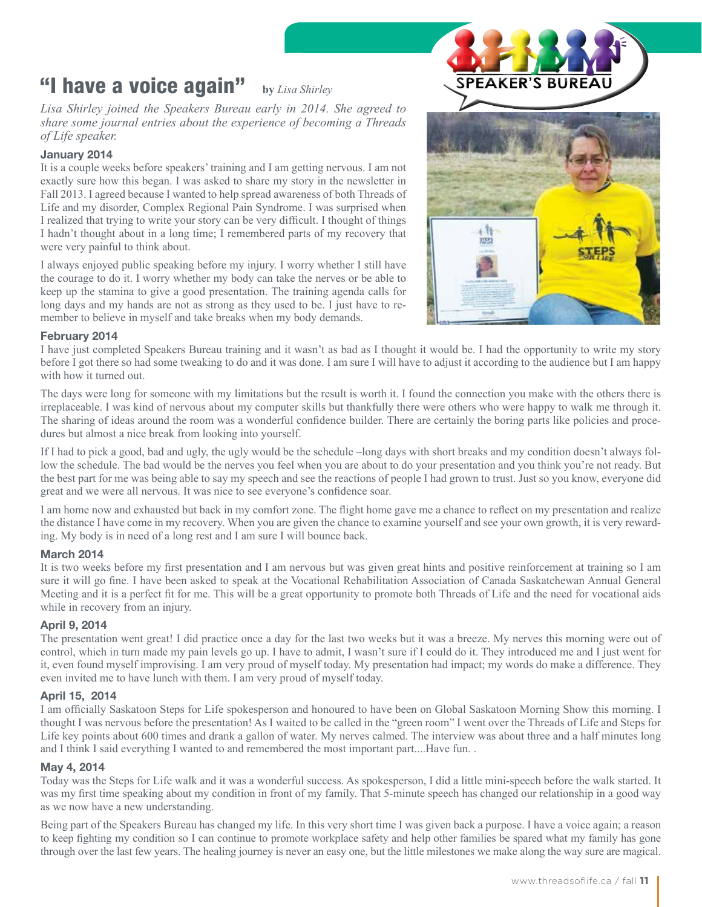### "I have a voice again" **by** *Lisa Shirley*

*Lisa Shirley joined the Speakers Bureau early in 2014. She agreed to share some journal entries about the experience of becoming a Threads of Life speaker.*

### January 2014

It is a couple weeks before speakers' training and I am getting nervous. I am not exactly sure how this began. I was asked to share my story in the newsletter in Fall 2013. I agreed because I wanted to help spread awareness of both Threads of Life and my disorder, Complex Regional Pain Syndrome. I was surprised when I realized that trying to write your story can be very difficult. I thought of things I hadn't thought about in a long time; I remembered parts of my recovery that were very painful to think about.

I always enjoyed public speaking before my injury. I worry whether I still have the courage to do it. I worry whether my body can take the nerves or be able to keep up the stamina to give a good presentation. The training agenda calls for long days and my hands are not as strong as they used to be. I just have to remember to believe in myself and take breaks when my body demands.



### February 2014

I have just completed Speakers Bureau training and it wasn't as bad as I thought it would be. I had the opportunity to write my story before I got there so had some tweaking to do and it was done. I am sure I will have to adjust it according to the audience but I am happy with how it turned out.

The days were long for someone with my limitations but the result is worth it. I found the connection you make with the others there is irreplaceable. I was kind of nervous about my computer skills but thankfully there were others who were happy to walk me through it. The sharing of ideas around the room was a wonderful confidence builder. There are certainly the boring parts like policies and procedures but almost a nice break from looking into yourself.

If I had to pick a good, bad and ugly, the ugly would be the schedule –long days with short breaks and my condition doesn't always follow the schedule. The bad would be the nerves you feel when you are about to do your presentation and you think you're not ready. But the best part for me was being able to say my speech and see the reactions of people I had grown to trust. Just so you know, everyone did great and we were all nervous. It was nice to see everyone's confidence soar.

I am home now and exhausted but back in my comfort zone. The flight home gave me a chance to reflect on my presentation and realize the distance I have come in my recovery. When you are given the chance to examine yourself and see your own growth, it is very rewarding. My body is in need of a long rest and I am sure I will bounce back.

### March 2014

It is two weeks before my first presentation and I am nervous but was given great hints and positive reinforcement at training so I am sure it will go fine. I have been asked to speak at the Vocational Rehabilitation Association of Canada Saskatchewan Annual General Meeting and it is a perfect fit for me. This will be a great opportunity to promote both Threads of Life and the need for vocational aids while in recovery from an injury.

### April 9, 2014

The presentation went great! I did practice once a day for the last two weeks but it was a breeze. My nerves this morning were out of control, which in turn made my pain levels go up. I have to admit, I wasn't sure if I could do it. They introduced me and I just went for it, even found myself improvising. I am very proud of myself today. My presentation had impact; my words do make a difference. They even invited me to have lunch with them. I am very proud of myself today.

### April 15, 2014

I am officially Saskatoon Steps for Life spokesperson and honoured to have been on Global Saskatoon Morning Show this morning. I thought I was nervous before the presentation! As I waited to be called in the "green room" I went over the Threads of Life and Steps for Life key points about 600 times and drank a gallon of water. My nerves calmed. The interview was about three and a half minutes long and I think I said everything I wanted to and remembered the most important part....Have fun. .

### May 4, 2014

Today was the Steps for Life walk and it was a wonderful success. As spokesperson, I did a little mini-speech before the walk started. It was my first time speaking about my condition in front of my family. That 5-minute speech has changed our relationship in a good way as we now have a new understanding.

Being part of the Speakers Bureau has changed my life. In this very short time I was given back a purpose. I have a voice again; a reason to keep fighting my condition so I can continue to promote workplace safety and help other families be spared what my family has gone through over the last few years. The healing journey is never an easy one, but the little milestones we make along the way sure are magical.